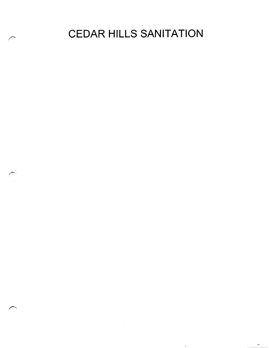CEDAR HILLS SANITATION

 $\sim 10^{11}$  km

 $\mathbf{v}^{\prime}$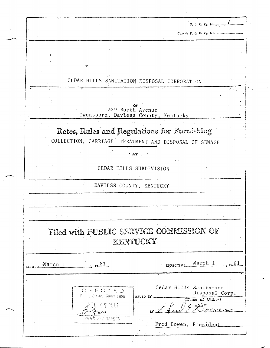|               |                                                  | P. S. C. Ky. No                                                            |
|---------------|--------------------------------------------------|----------------------------------------------------------------------------|
|               |                                                  | Cancels P. S. C. Ky. Nomme                                                 |
|               |                                                  |                                                                            |
|               |                                                  |                                                                            |
|               |                                                  |                                                                            |
|               |                                                  | CEDAR HILLS SANITATION DISPOSAL CORPORATION                                |
|               |                                                  |                                                                            |
|               |                                                  |                                                                            |
|               |                                                  | ٥F<br>329 Booth Avenue<br>Owensboro, Daviess County, Kentucky              |
|               |                                                  | Rates, Rules and Regulations for Furnishing                                |
|               |                                                  | COLLECTION, CARRIAGE, TREATMENT AND DISPOSAL OF SEWAGE                     |
|               |                                                  | $'$ $AT$ .                                                                 |
|               |                                                  | CEDAR HILLS SUBDIVISION                                                    |
|               |                                                  |                                                                            |
|               |                                                  | DAVIESS COUNTY, KENTUCKY                                                   |
|               |                                                  |                                                                            |
|               |                                                  |                                                                            |
|               |                                                  | Filed with PUBLIC SERVICE COMMISSION OF<br>KENTUCKY                        |
| <b>ISSUE!</b> | $\frac{81}{12}$<br>March 1                       | March 1<br>$-$ 19.81<br>EPPECTIVE                                          |
|               | CHECKED<br>Public Service Commission<br>2 7 1981 | Cedar Hills Sanitation<br>Disposal Corp.<br>ISSUED BY<br>(Name of Utility) |

 $\overline{\phantom{a}}$ 

 $\frac{1}{\sqrt{2}}$ 

,n

 $\label{eq:2} \frac{1}{\sqrt{2}}\sum_{i=1}^n\frac{1}{\sqrt{2}}\sum_{j=1}^n\frac{1}{j!}\sum_{j=1}^n\frac{1}{j!}\sum_{j=1}^n\frac{1}{j!}\sum_{j=1}^n\frac{1}{j!}\sum_{j=1}^n\frac{1}{j!}\sum_{j=1}^n\frac{1}{j!}\sum_{j=1}^n\frac{1}{j!}\sum_{j=1}^n\frac{1}{j!}\sum_{j=1}^n\frac{1}{j!}\sum_{j=1}^n\frac{1}{j!}\sum_{j=1}^n\frac{1}{j!}\sum_{j=1}^$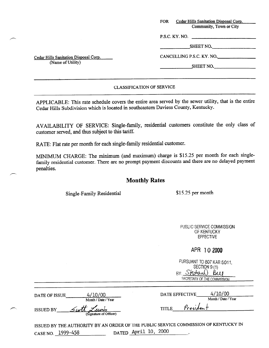| <b>FOR</b> | Cedar Hills Sanitation Disposal Corp. |  |
|------------|---------------------------------------|--|
|            | Community, Town or City               |  |
|            | P.S.C. KY. NO.                        |  |

Cedar Hills Sanitation Disposal Corp. (Name of Utility)

SHEET NO.

CANCELLING P.S.C. KY. NO.

SHEET NO.

### CLASSIFICATION OF SERVICE

APPLICABLE: This rate schedule covers the entire area served by the sewer utility, that is the entire Cedar Hills Subdivision which is located in southeastern Daviess County, Kentucky.

AVAILABILITY OF SERVICE: Single-family, residential customers constitute the only class of customer served, and thus subject to this tariff.

RATE: Flat rate per month for each single-family residential customer.

MINIMUM CHARGE: The minimum (and maximum) charge is \$15.25 per month for each singlefamily residential customer. There are no prompt payment discounts and there are no delayed payment penalties.

# Monthly Rates

Single-Family Residential \$15.25 per month

PUBLIC SERVICE COMMISSION OF KENTUCKY EFFECTIVE

## APR 10 2000

| PURSUANT TO 807 KAR 5:011.  |
|-----------------------------|
| SECTION 9(1)                |
| BY Stephan Bul              |
| SECRETARY OF THE COMMISSION |

| DATE OF ISSUE |  |
|---------------|--|
|---------------|--|

ISSUED BY

Month / Date / Year  $\frac{1}{\sqrt{t}}$  (Signature of Officer)

 $4/10/00$ 

DATE EFFECTIVE  $4/10/00$ <br>Month / Date / Year TITLE Presiden

ISSUED BY THE AUTHORITY BY AN ORDER OF THE PUBLIC SERVICE COMMISSION OF KENTUCKY IN CASE NO. 1999-458 DATED April 10, 2000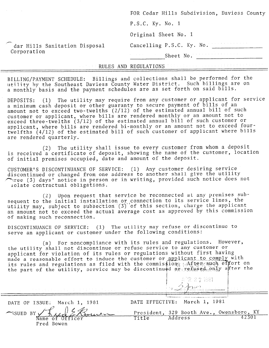|                                              |  | FOR Cedar Hills Subdivision, Daviess County                                |
|----------------------------------------------|--|----------------------------------------------------------------------------|
|                                              |  | $P.S.C.$ Ky. No. 1                                                         |
| dar Hills Sanitation Disposal<br>Corporation |  | Original Sheet No. 1                                                       |
|                                              |  | Cancelling P.S.C. Ky. No.                                                  |
|                                              |  | Sheet No.                                                                  |
|                                              |  | <b>EXECUTE RULES AND REGULATIONS AND PROPERTY OF RULES AND REGULATIONS</b> |

BILLING/PAYMENT SCHEDULE: Billings and collections shall be performed for the utility by the Southeast Daviess County Water District. Such billings are on a monthly basis and the payment schedules are as set forth on said bills.

DEPOSITS: (1) The utility may require from any customer or applicant for service a minimum cash deposit or other guaranty to secure payment of bills of an amount not to exceed two-twelths (2/12) of the estimated annual bill of such customer or applicant, where bills are rendered monthly or an amount not to exceed three-twelths (3/12) of the estimated annual bill of such customer or applicant, where bills are rendered bi-monthly or an amount not to exceed fourtwelfths (4/12) of the estimated bill of such customer of applicant where bills are rendered quarterly.

(2) The utility shall issue to every customer from whom a deposit is received a certificate of deposit, showing the name of the customer, location of initial premises occupied, date and amount of the deposit.

CUSTOMER'S DISCONTINUANCE OF SERVICE: (1) Any customer desiring service discontinued or changed from one address to another shall give the util  $\curvearrowright$  (3) days' notice in person or in writing, provided such notice does not lolate contractual obligations.

 $(2)$  Upon request that service be reconnected at any premises subsequent to the initial installation or connection to its service lines, the utility may, subject to subsection (3) of this section, charge the applicant an amount not to'exceed the actual average cost as approved by this commission of making such reconnection.

DISCONTINUANCE OF SERVICE; (1) The utility may refuse or discontinue to serve an applicant or customer under the following conditions:

(a) For noncompliance with its rules and regulations. However, the utility shall not discontinue or refuse service to any customer or applicant for violation of its rules or regulations without first havin made a reasonable effort to induce the customer or applicant to comply with its rules and regulations as filed with the commission;  $:$  After such effort on the part of the utility, service may be discontinued  $\alpha$  reflused only a fter the

i j ; '1; ;:-j y.1'1  $\mathbb{E}\left[\sum_{i=1}^{N}x_{i}^{T}\right]$  $|j_2 \rangle$ -~~ .,  $\frac{1}{2}$  :  $\frac{1}{2}$  . In the set of  $\frac{1}{2}$ 

DATE OF ISSUE: March 1, 1981 DATE EFFECTIVE: March 1, 1981<br>
SSUED BY THE President, 329 Booth Ave., Owensboro, KY

 $\begin{array}{c}\n\text{NSUED BY} & \text{A} & \text{A} \\
\hline\n\text{Name of Officer}\n\end{array}$ Fred Bowen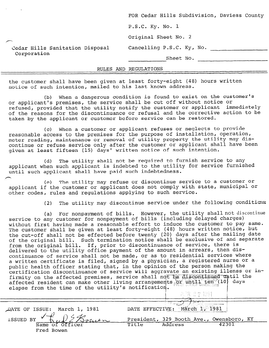|                                                | FOR Cedar Hills Subdivision, Daviess County |
|------------------------------------------------|---------------------------------------------|
|                                                | $P.S.C.$ Ky. No. 1                          |
|                                                | Original Sheet No. 2                        |
| Cedar Hills Sanitation Disposal<br>Corporation | Cancelling P.S.C. Ky, No.                   |
|                                                | Sheet No.                                   |

#### RULES AND REGULATIONS

the customer shall have been given at least forty-eight (48) hours written notice of such intention, mailed to his last known address.

(b) When a dangerous condition is found to exist on the customer's or applicant's premises, the service shall be cut off without notice or refused, provided that the utility notify the customer or applicant immediately of the reasons for the discontinuance or refusal and the corrective action to be taken by the applicant or customer before service can be restored.

(c) When a customer or applicant refuses or neglects to provide reasonable access to the premises for the purpose of installation, operation, meter reading, maintenance or removal of utility property the utility may discontinue or refuse service only after the customer or applicant shall have been given at least fifteen (15) days' written notice of such intention.

(d) The utility shall not be required to furnish service to any applicant when such applicant is indebted to the utility for service furnished until such applicant shall have paid such indebtedness.  $\overline{\phantom{1}}$ 

(e) The utility may refuse or discontinue service to a customer or applicant if the customer or applicant does not comply with state, municipal or other codes, rules and regulations applying to such service.

(2) The utility may discontinue service under the following conditiasz

(a) For nonpayment of bills. However, the utility shall not discontinue service to any customer for nonpayment of bills (including delayed charges) without first having made a reasonable effort to induce the customer to pay same. The customer shall be given at least forty-eight (48) hours written notice, but the cut-off shall not be effected before twenty (20) days after the mailing date of the original bill. Such termination notice shall be exclusive of and separate from the original bill. If, prior to discontinuance of service, there is delivered to the utility office payment of the amount in arrears, then discontinuance of service shall not be made, or as to residential services where a written certificate is filed, signed by a physician, a registered nurse or a public health officer stating that, in the opinion of the person making the certification discontinuance of service will aggravate an existing illenss or infirmity on the affected premises, service shall not be discontinued until the affected resident can make other living arrangements or until ten<sup>D</sup>(10) days elapse from the time of the utility's notification. 'se vommiser<br>. <sup>i</sup>/, .i..', ,

R 271981 DATE OF ISSUE: March 1, 1981  $\cdots$ /I C-L- I I  $2 - 2$  ,  $2 - 3$  .  $2 - 3$  .  $2 - 3$  .  $2 - 3$  .  $2 - 3$  .  $2 - 3$  .  $2 - 3$  .  $2 - 3$  .  $2 - 3$  .  $2 - 3$  .  $2 - 3$  .  $2 - 3$  .  $2 - 3$  .  $2 - 3$  .  $2 - 3$  .  $2 - 3$  .  $2 - 3$  .  $2 - 3$  .  $2 - 3$  .  $2 - 3$  .  $2 - 3$  .  $2 - 3$  .  $2 - 3$  .  $2 - 3$ DATE EFFECTIVE: I. .,.. ". -.... ..-I . ..\_. \_, ..\_,........,..,\_\_! .\_. ,\_. \_ ,I\_l^"l,".,.~.\_~ ISSUED BY  $\left\{ \left( \mu, \nu \right) \right\}$   $\mathcal{B}_{\text{max}}$  President, 329 Booth Ave., Owensboro, KY  $\frac{11722}{6}$  Mame of Officer Title Address 42301 Name of Of<br>Fred Bowen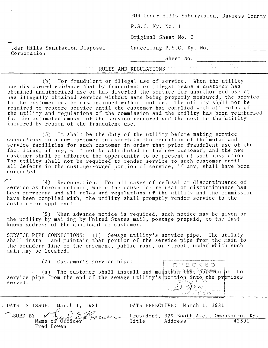|                                              | the contract of the contract of the contract of the con-<br>the property of the control of the control of the control of the control of the control of |
|----------------------------------------------|--------------------------------------------------------------------------------------------------------------------------------------------------------|
| dar Hills Sanitation Disposal<br>Corporation | the control of the control of the control of the<br>Sheet No.                                                                                          |
|                                              | Cancelling P.S.C. Ky. No.                                                                                                                              |
| $\overline{\phantom{a}}$                     | Original Sheet No. 3                                                                                                                                   |
|                                              | $P.S.C.$ Ky. No. 1                                                                                                                                     |
|                                              | FOR Cedar Hills Subdivision, Daviess County                                                                                                            |

### RULES AND REGULATIONS

(b) For fraudulent or illegal use of service. When the utility has discovered evidence that by fraudulent or illegal means a customer has obtained unauthorized use or has diverted the service for unauthorized use or has illegally obtained service without same being properly measured, the service to the customer may be discontinued without notice. The utility shall not be required to restore service until the customer has complied with all rules of the utility and regulations of the commission and the utility has been reimburs for the estimated amount of the service rendered and the cost to the util incurred by reason of the fraudulent use.

(3) It shall be the duty of the utility before making service connections to a new customer to ascertain the condition of the'meter and service facilities for such customer in order that prior fraudulent use of the facilities, if any, will not be attributed to the new customer, and the new customer shall be afforded the opportunity to be present at such inspecti The utility shall not be required to render service to such customer until all defects in the customer-owned portion of service, if any, shall have been corrected.

 $r-4$  Reconnection. For all cases of refusal or discontinuance of service as herein defined, where the cause for refusal or discontinuance has been corrected and all rules and regulations of the utility and the commissio have been complied with, the utility shall promptly render service to the customer or applicant.

(5) When advance notice is required, such notice may be given by the utility by mailing by United States mail, postage prepaid, to the last known address of the applicant or customer.

SERVICE PIPE CONNECTIONS: (1) Sewage utility's service pipe. The utility shall install and maintain that portion of the service pipe from the main to the boundary line of the easement, public road, or street, under which such main may be located.

(2) Customer's service pipe:

(a) The customer shall install and maintain that portion of the service pipe from the end of the sewage utility's portion integrate premises borcasine en 1981 served.

CHECKED

| DATE IS ISSUE: March 1, 1981                                  | DATE EFFECTIVE: March 1, 1981 |  |
|---------------------------------------------------------------|-------------------------------|--|
| SUED BY Two Strates President, 329 Booth Ave., Owensboro, Ky. |                               |  |
|                                                               |                               |  |
| Fred Bowen                                                    |                               |  |